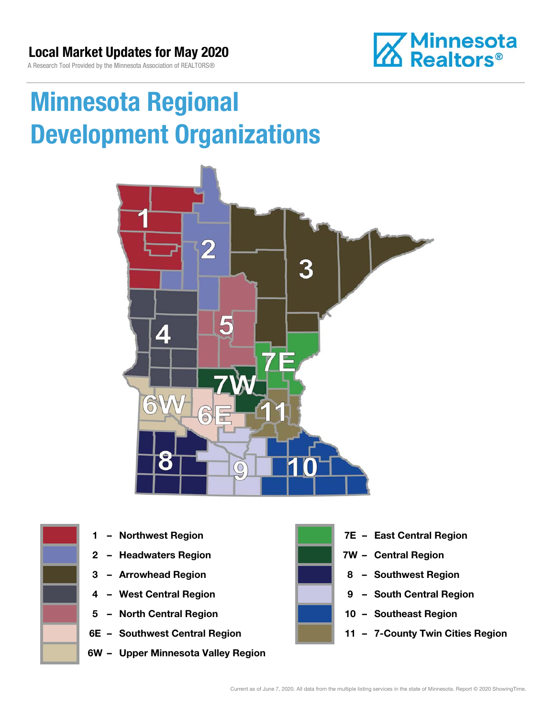### Local Market Updates for May 2020

A Research Tool Provided by the Minnesota Association of REALTORS®



# Minnesota Regional Development Organizations





- 
- 2 Headwaters Region **1988 7W Central Region**
- 
- 
- 5 North Central Region 10 Southeast Region
- 
- 6W Upper Minnesota Valley Region



- 1 Northwest Region **1 1999 12 Property Contral Region** 
	-
- 3 Arrowhead Region **8 Southwest Region**
- 4 West Central Region **9 1 March 2018** 9 South Central Region
	-
- 6E Southwest Central Region **11 7-County Twin Cities Region**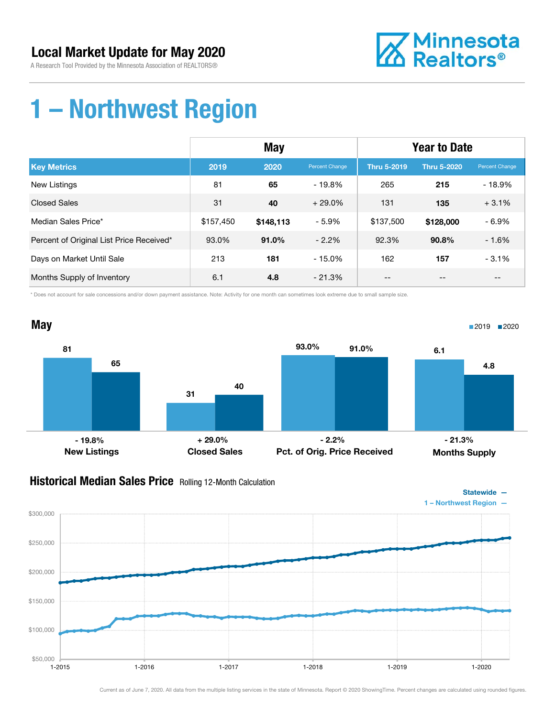

### 1 – Northwest Region

|                                          | <b>May</b> |           |                | <b>Year to Date</b> |                    |                |
|------------------------------------------|------------|-----------|----------------|---------------------|--------------------|----------------|
| <b>Key Metrics</b>                       | 2019       | 2020      | Percent Change | <b>Thru 5-2019</b>  | <b>Thru 5-2020</b> | Percent Change |
| New Listings                             | 81         | 65        | $-19.8\%$      | 265                 | 215                | $-18.9%$       |
| <b>Closed Sales</b>                      | 31         | 40        | $+29.0%$       | 131                 | 135                | $+3.1%$        |
| Median Sales Price*                      | \$157,450  | \$148,113 | - 5.9%         | \$137,500           | \$128,000          | $-6.9%$        |
| Percent of Original List Price Received* | 93.0%      | 91.0%     | $-2.2\%$       | 92.3%               | 90.8%              | $-1.6%$        |
| Days on Market Until Sale                | 213        | 181       | $-15.0%$       | 162                 | 157                | $-3.1%$        |
| Months Supply of Inventory               | 6.1        | 4.8       | $-21.3%$       | --                  | --                 | $- -$          |

\* Does not account for sale concessions and/or down payment assistance. Note: Activity for one month can sometimes look extreme due to small sample size.



#### Historical Median Sales Price Rolling 12-Month Calculation

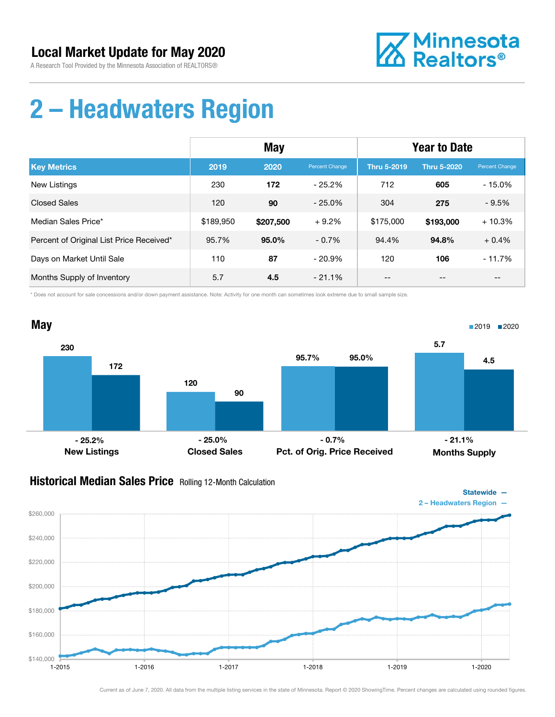

### 2 – Headwaters Region

|                                          | May       |           |                | <b>Year to Date</b> |                    |                |
|------------------------------------------|-----------|-----------|----------------|---------------------|--------------------|----------------|
| <b>Key Metrics</b>                       | 2019      | 2020      | Percent Change | <b>Thru 5-2019</b>  | <b>Thru 5-2020</b> | Percent Change |
| New Listings                             | 230       | 172       | $-25.2\%$      | 712                 | 605                | $-15.0%$       |
| <b>Closed Sales</b>                      | 120       | 90        | $-25.0%$       | 304                 | 275                | $-9.5%$        |
| Median Sales Price*                      | \$189,950 | \$207,500 | $+9.2%$        | \$175,000           | \$193,000          | $+10.3%$       |
| Percent of Original List Price Received* | 95.7%     | $95.0\%$  | $-0.7%$        | 94.4%               | 94.8%              | $+0.4%$        |
| Days on Market Until Sale                | 110       | 87        | $-20.9%$       | 120                 | 106                | $-11.7%$       |
| Months Supply of Inventory               | 5.7       | 4.5       | $-21.1\%$      | --                  | --                 | $- -$          |

\* Does not account for sale concessions and/or down payment assistance. Note: Activity for one month can sometimes look extreme due to small sample size.



#### Historical Median Sales Price Rolling 12-Month Calculation

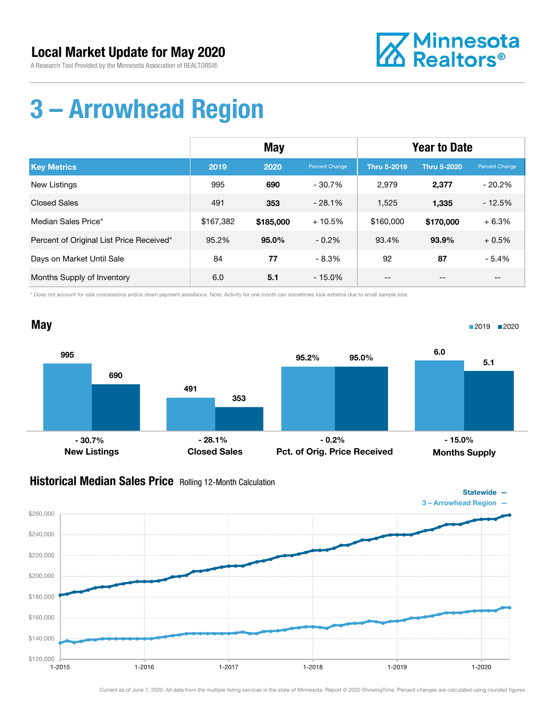

## 3 – Arrowhead Region

|                                          | <b>May</b> |           |                | <b>Year to Date</b> |                    |                       |
|------------------------------------------|------------|-----------|----------------|---------------------|--------------------|-----------------------|
| <b>Key Metrics</b>                       | 2019       | 2020      | Percent Change | <b>Thru 5-2019</b>  | <b>Thru 5-2020</b> | <b>Percent Change</b> |
| New Listings                             | 995        | 690       | $-30.7\%$      | 2,979               | 2,377              | $-20.2%$              |
| <b>Closed Sales</b>                      | 491        | 353       | $-28.1%$       | 1,525               | 1,335              | $-12.5%$              |
| Median Sales Price*                      | \$167,382  | \$185,000 | $+10.5%$       | \$160,000           | \$170,000          | $+6.3%$               |
| Percent of Original List Price Received* | 95.2%      | $95.0\%$  | $-0.2\%$       | 93.4%               | 93.9%              | $+0.5%$               |
| Days on Market Until Sale                | 84         | 77        | - 8.3%         | 92                  | 87                 | $-5.4%$               |
| Months Supply of Inventory               | 6.0        | 5.1       | $-15.0\%$      | --                  | $- -$              | $- -$                 |

\* Does not account for sale concessions and/or down payment assistance. Note: Activity for one month can sometimes look extreme due to small sample size.



#### Historical Median Sales Price Rolling 12-Month Calculation

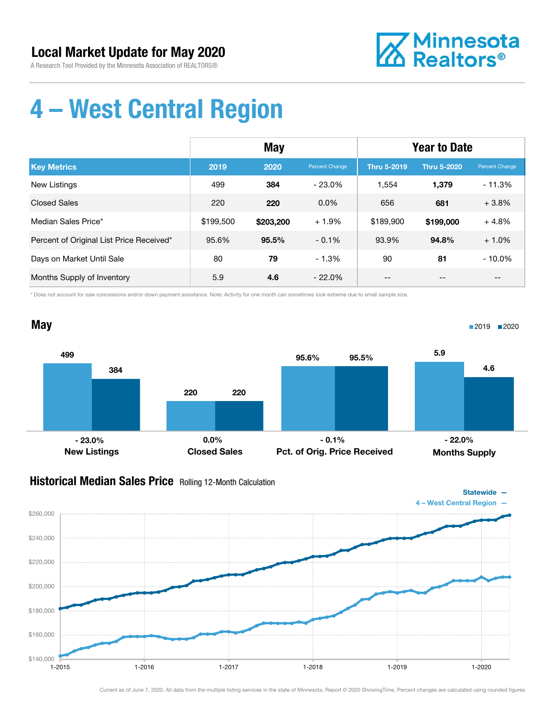

## 4 – West Central Region

|                                          | May       |           |                | <b>Year to Date</b> |                    |                       |
|------------------------------------------|-----------|-----------|----------------|---------------------|--------------------|-----------------------|
| <b>Key Metrics</b>                       | 2019      | 2020      | Percent Change | <b>Thru 5-2019</b>  | <b>Thru 5-2020</b> | <b>Percent Change</b> |
| New Listings                             | 499       | 384       | $-23.0\%$      | 1.554               | 1.379              | $-11.3%$              |
| <b>Closed Sales</b>                      | 220       | 220       | $0.0\%$        | 656                 | 681                | $+3.8%$               |
| Median Sales Price*                      | \$199,500 | \$203,200 | $+1.9%$        | \$189,900           | \$199,000          | $+4.8%$               |
| Percent of Original List Price Received* | 95.6%     | 95.5%     | $-0.1\%$       | 93.9%               | 94.8%              | $+1.0%$               |
| Days on Market Until Sale                | 80        | 79        | $-1.3%$        | 90                  | 81                 | $-10.0%$              |
| Months Supply of Inventory               | 5.9       | 4.6       | $-22.0\%$      | --                  |                    | --                    |

\* Does not account for sale concessions and/or down payment assistance. Note: Activity for one month can sometimes look extreme due to small sample size.



#### Historical Median Sales Price Rolling 12-Month Calculation

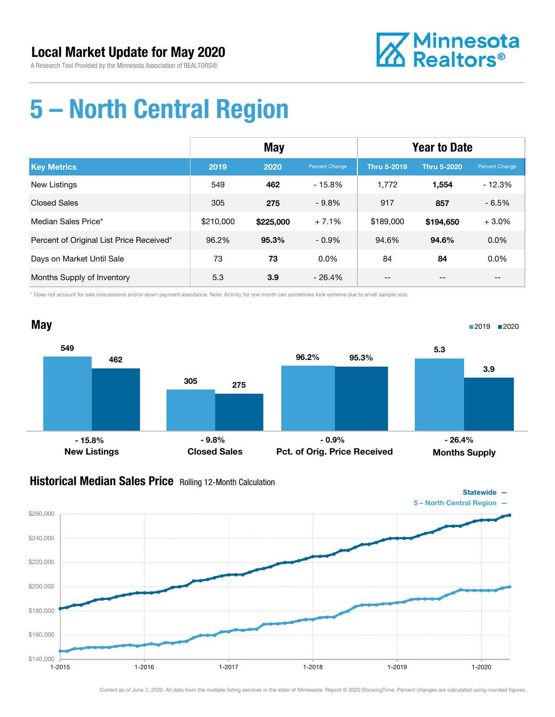

### 5 – North Central Region

|                                          | May       |           |                       | <b>Year to Date</b> |                    |                |
|------------------------------------------|-----------|-----------|-----------------------|---------------------|--------------------|----------------|
| <b>Key Metrics</b>                       | 2019      | 2020      | <b>Percent Change</b> | <b>Thru 5-2019</b>  | <b>Thru 5-2020</b> | Percent Change |
| New Listings                             | 549       | 462       | $-15.8%$              | 1,772               | 1,554              | $-12.3%$       |
| <b>Closed Sales</b>                      | 305       | 275       | $-9.8%$               | 917                 | 857                | $-6.5%$        |
| Median Sales Price*                      | \$210,000 | \$225,000 | $+7.1%$               | \$189,000           | \$194,650          | $+3.0%$        |
| Percent of Original List Price Received* | 96.2%     | 95.3%     | $-0.9\%$              | 94.6%               | 94.6%              | 0.0%           |
| Days on Market Until Sale                | 73        | 73        | $0.0\%$               | 84                  | 84                 | 0.0%           |
| Months Supply of Inventory               | 5.3       | 3.9       | $-26.4%$              | --                  |                    | --             |

\* Does not account for sale concessions and/or down payment assistance. Note: Activity for one month can sometimes look extreme due to small sample size.



#### Historical Median Sales Price Rolling 12-Month Calculation

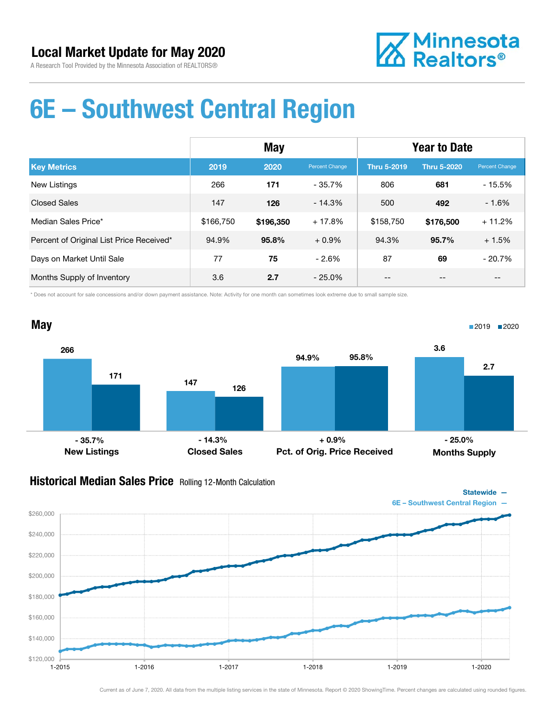

### 6E – Southwest Central Region

|                                          | <b>May</b> |           |                | <b>Year to Date</b> |                    |                       |
|------------------------------------------|------------|-----------|----------------|---------------------|--------------------|-----------------------|
| <b>Key Metrics</b>                       | 2019       | 2020      | Percent Change | <b>Thru 5-2019</b>  | <b>Thru 5-2020</b> | <b>Percent Change</b> |
| New Listings                             | 266        | 171       | $-35.7\%$      | 806                 | 681                | $-15.5%$              |
| <b>Closed Sales</b>                      | 147        | 126       | $-14.3%$       | 500                 | 492                | $-1.6%$               |
| Median Sales Price*                      | \$166,750  | \$196,350 | $+17.8%$       | \$158,750           | \$176,500          | $+11.2%$              |
| Percent of Original List Price Received* | 94.9%      | 95.8%     | $+0.9\%$       | 94.3%               | 95.7%              | $+1.5%$               |
| Days on Market Until Sale                | 77         | 75        | $-2.6%$        | 87                  | 69                 | $-20.7%$              |
| Months Supply of Inventory               | 3.6        | 2.7       | - 25.0%        | --                  |                    | --                    |

\* Does not account for sale concessions and/or down payment assistance. Note: Activity for one month can sometimes look extreme due to small sample size.



#### Historical Median Sales Price Rolling 12-Month Calculation

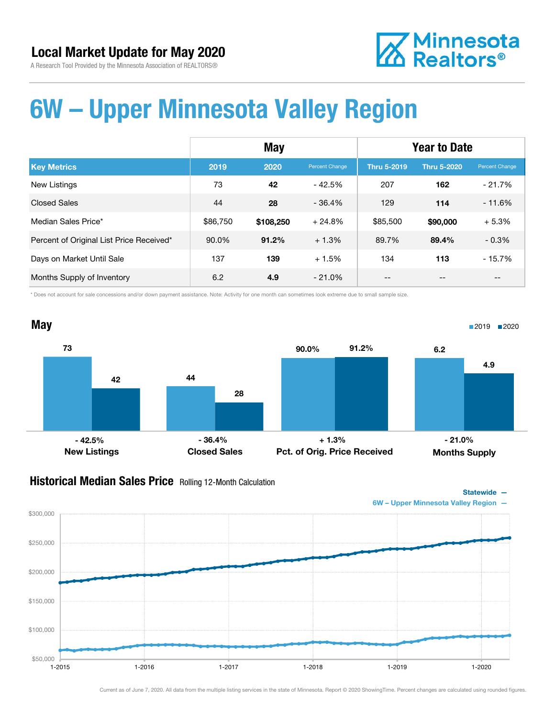



### 6W – Upper Minnesota Valley Region

|                                          | <b>May</b> |           |                | <b>Year to Date</b> |                    |                       |
|------------------------------------------|------------|-----------|----------------|---------------------|--------------------|-----------------------|
| <b>Key Metrics</b>                       | 2019       | 2020      | Percent Change | <b>Thru 5-2019</b>  | <b>Thru 5-2020</b> | <b>Percent Change</b> |
| New Listings                             | 73         | 42        | $-42.5%$       | 207                 | 162                | $-21.7%$              |
| <b>Closed Sales</b>                      | 44         | 28        | $-36.4%$       | 129                 | 114                | $-11.6%$              |
| Median Sales Price*                      | \$86,750   | \$108,250 | $+24.8%$       | \$85,500            | \$90,000           | $+5.3%$               |
| Percent of Original List Price Received* | 90.0%      | 91.2%     | $+1.3%$        | 89.7%               | 89.4%              | $-0.3%$               |
| Days on Market Until Sale                | 137        | 139       | $+1.5%$        | 134                 | 113                | $-15.7%$              |
| Months Supply of Inventory               | 6.2        | 4.9       | - 21.0%        | --                  | --                 | --                    |

\* Does not account for sale concessions and/or down payment assistance. Note: Activity for one month can sometimes look extreme due to small sample size.



#### Historical Median Sales Price Rolling 12-Month Calculation



Statewide —

6W – Upper Minnesota Valley Region —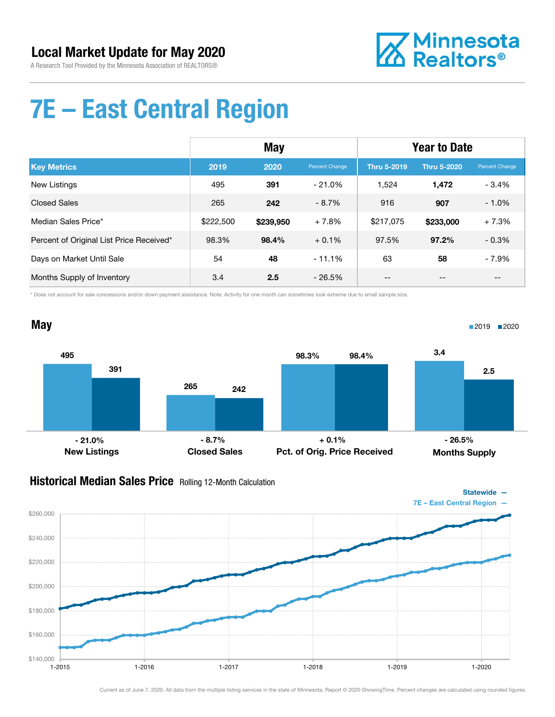

## 7E – East Central Region

|                                          | May       |           |                | <b>Year to Date</b> |                    |                |
|------------------------------------------|-----------|-----------|----------------|---------------------|--------------------|----------------|
| <b>Key Metrics</b>                       | 2019      | 2020      | Percent Change | <b>Thru 5-2019</b>  | <b>Thru 5-2020</b> | Percent Change |
| New Listings                             | 495       | 391       | $-21.0\%$      | 1.524               | 1.472              | $-3.4%$        |
| <b>Closed Sales</b>                      | 265       | 242       | $-8.7\%$       | 916                 | 907                | $-1.0%$        |
| Median Sales Price*                      | \$222,500 | \$239,950 | $+7.8%$        | \$217.075           | \$233,000          | $+7.3%$        |
| Percent of Original List Price Received* | 98.3%     | 98.4%     | $+0.1\%$       | 97.5%               | 97.2%              | $-0.3%$        |
| Days on Market Until Sale                | 54        | 48        | $-11.1%$       | 63                  | 58                 | $-7.9%$        |
| Months Supply of Inventory               | 3.4       | 2.5       | $-26.5%$       | --                  | --                 | $- -$          |

\* Does not account for sale concessions and/or down payment assistance. Note: Activity for one month can sometimes look extreme due to small sample size.



#### Historical Median Sales Price Rolling 12-Month Calculation

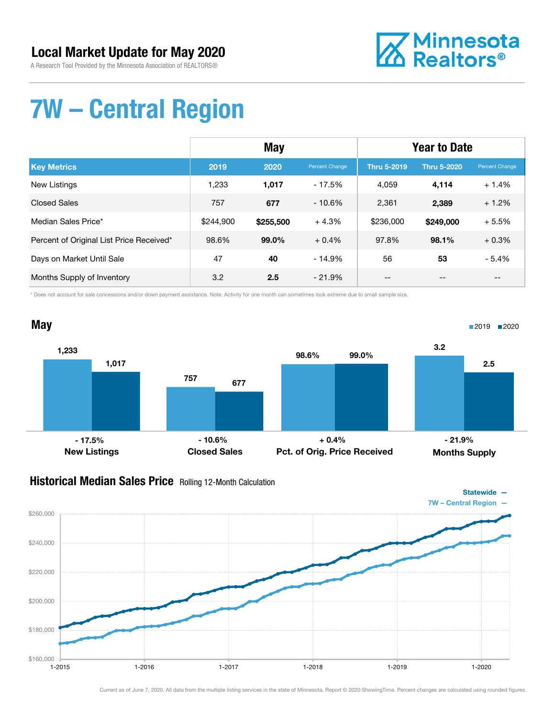

# 7W – Central Region

|                                          | <b>May</b> |           |                | <b>Year to Date</b> |                    |                |
|------------------------------------------|------------|-----------|----------------|---------------------|--------------------|----------------|
| <b>Key Metrics</b>                       | 2019       | 2020      | Percent Change | <b>Thru 5-2019</b>  | <b>Thru 5-2020</b> | Percent Change |
| New Listings                             | 1.233      | 1,017     | $-17.5%$       | 4,059               | 4,114              | $+1.4%$        |
| <b>Closed Sales</b>                      | 757        | 677       | $-10.6%$       | 2.361               | 2,389              | $+1.2%$        |
| Median Sales Price*                      | \$244,900  | \$255,500 | $+4.3%$        | \$236,000           | \$249,000          | $+5.5%$        |
| Percent of Original List Price Received* | 98.6%      | 99.0%     | $+0.4%$        | 97.8%               | 98.1%              | $+0.3%$        |
| Days on Market Until Sale                | 47         | 40        | $-14.9%$       | 56                  | 53                 | $-5.4%$        |
| Months Supply of Inventory               | 3.2        | 2.5       | $-21.9%$       | $- -$               | --                 | $- -$          |

\* Does not account for sale concessions and/or down payment assistance. Note: Activity for one month can sometimes look extreme due to small sample size.



#### Historical Median Sales Price Rolling 12-Month Calculation

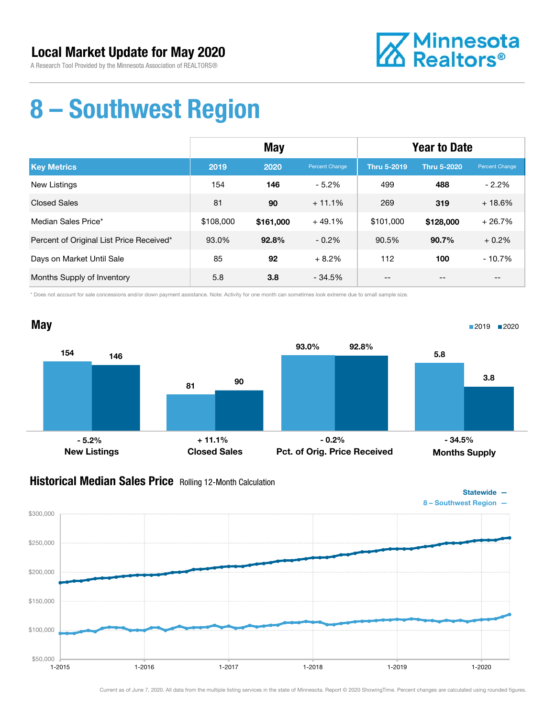

### 8 – Southwest Region

|                                          | May       |           |                | <b>Year to Date</b> |                    |                |
|------------------------------------------|-----------|-----------|----------------|---------------------|--------------------|----------------|
| <b>Key Metrics</b>                       | 2019      | 2020      | Percent Change | <b>Thru 5-2019</b>  | <b>Thru 5-2020</b> | Percent Change |
| <b>New Listings</b>                      | 154       | 146       | $-5.2\%$       | 499                 | 488                | $-2.2\%$       |
| <b>Closed Sales</b>                      | 81        | 90        | $+11.1%$       | 269                 | 319                | $+18.6%$       |
| Median Sales Price*                      | \$108,000 | \$161,000 | $+49.1%$       | \$101,000           | \$128,000          | $+26.7%$       |
| Percent of Original List Price Received* | 93.0%     | 92.8%     | $-0.2\%$       | 90.5%               | 90.7%              | $+0.2%$        |
| Days on Market Until Sale                | 85        | 92        | $+8.2%$        | 112                 | 100                | $-10.7%$       |
| Months Supply of Inventory               | 5.8       | 3.8       | $-34.5%$       | --                  | --                 | $- -$          |

\* Does not account for sale concessions and/or down payment assistance. Note: Activity for one month can sometimes look extreme due to small sample size.



#### Historical Median Sales Price Rolling 12-Month Calculation

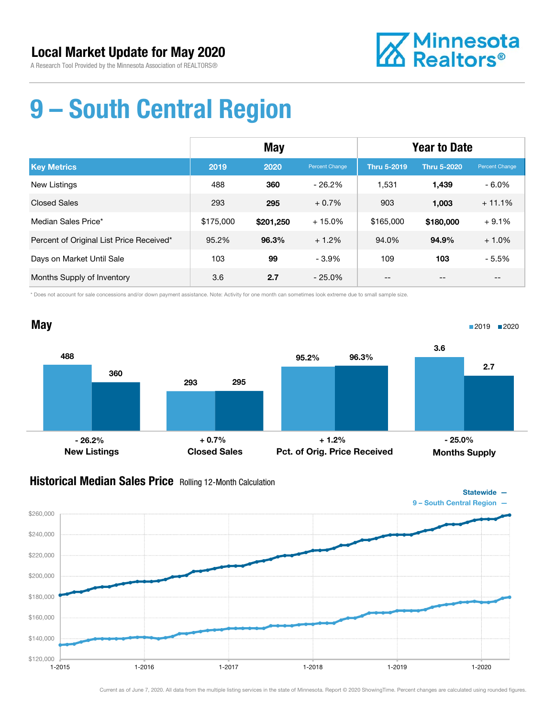

# 9 – South Central Region

|                                          | May       |           |                | <b>Year to Date</b> |                    |                       |
|------------------------------------------|-----------|-----------|----------------|---------------------|--------------------|-----------------------|
| <b>Key Metrics</b>                       | 2019      | 2020      | Percent Change | <b>Thru 5-2019</b>  | <b>Thru 5-2020</b> | <b>Percent Change</b> |
| New Listings                             | 488       | 360       | $-26.2\%$      | 1.531               | 1.439              | - 6.0%                |
| <b>Closed Sales</b>                      | 293       | 295       | $+0.7%$        | 903                 | 1,003              | $+11.1%$              |
| Median Sales Price*                      | \$175,000 | \$201,250 | $+15.0%$       | \$165,000           | \$180,000          | $+9.1%$               |
| Percent of Original List Price Received* | 95.2%     | 96.3%     | $+1.2%$        | 94.0%               | 94.9%              | $+1.0%$               |
| Days on Market Until Sale                | 103       | 99        | $-3.9\%$       | 109                 | 103                | $-5.5%$               |
| Months Supply of Inventory               | 3.6       | 2.7       | $-25.0\%$      | --                  | --                 | --                    |

\* Does not account for sale concessions and/or down payment assistance. Note: Activity for one month can sometimes look extreme due to small sample size.



#### Historical Median Sales Price Rolling 12-Month Calculation

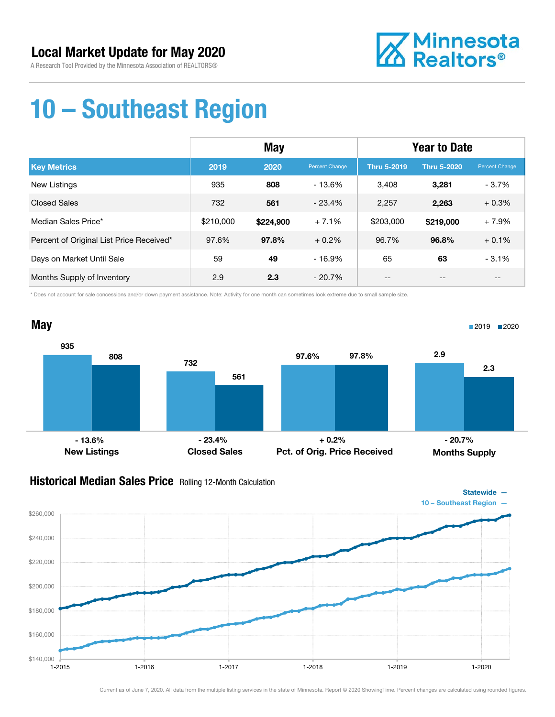

### 10 – Southeast Region

|                                          | <b>May</b> |           |                | <b>Year to Date</b> |                    |                |
|------------------------------------------|------------|-----------|----------------|---------------------|--------------------|----------------|
| <b>Key Metrics</b>                       | 2019       | 2020      | Percent Change | <b>Thru 5-2019</b>  | <b>Thru 5-2020</b> | Percent Change |
| New Listings                             | 935        | 808       | - 13.6%        | 3.408               | 3,281              | $-3.7%$        |
| <b>Closed Sales</b>                      | 732        | 561       | $-23.4%$       | 2.257               | 2,263              | $+0.3%$        |
| Median Sales Price*                      | \$210,000  | \$224,900 | $+7.1%$        | \$203,000           | \$219,000          | $+7.9%$        |
| Percent of Original List Price Received* | 97.6%      | 97.8%     | $+0.2\%$       | 96.7%               | 96.8%              | $+0.1%$        |
| Days on Market Until Sale                | 59         | 49        | $-16.9%$       | 65                  | 63                 | $-3.1%$        |
| Months Supply of Inventory               | 2.9        | 2.3       | $-20.7\%$      | --                  | --                 | --             |

\* Does not account for sale concessions and/or down payment assistance. Note: Activity for one month can sometimes look extreme due to small sample size.



#### Historical Median Sales Price Rolling 12-Month Calculation